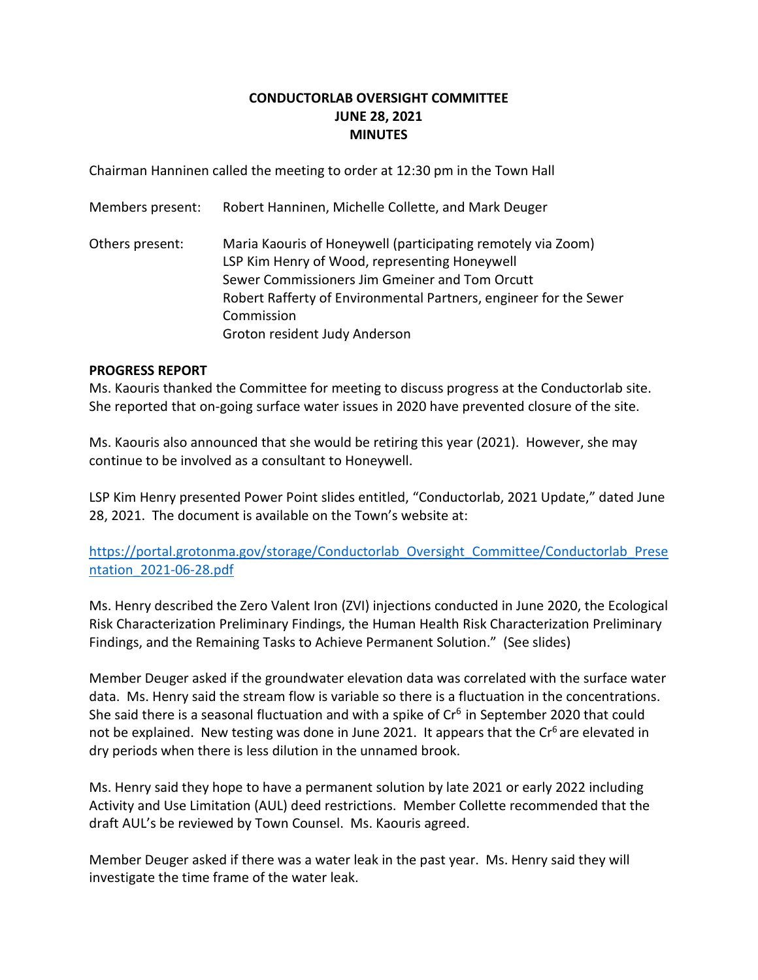# **CONDUCTORLAB OVERSIGHT COMMITTEE JUNE 28, 2021 MINUTES**

Chairman Hanninen called the meeting to order at 12:30 pm in the Town Hall

| Members present: | Robert Hanninen, Michelle Collette, and Mark Deuger                                                                                                                                                                                                                                 |
|------------------|-------------------------------------------------------------------------------------------------------------------------------------------------------------------------------------------------------------------------------------------------------------------------------------|
| Others present:  | Maria Kaouris of Honeywell (participating remotely via Zoom)<br>LSP Kim Henry of Wood, representing Honeywell<br>Sewer Commissioners Jim Gmeiner and Tom Orcutt<br>Robert Rafferty of Environmental Partners, engineer for the Sewer<br>Commission<br>Groton resident Judy Anderson |
|                  |                                                                                                                                                                                                                                                                                     |

### **PROGRESS REPORT**

Ms. Kaouris thanked the Committee for meeting to discuss progress at the Conductorlab site. She reported that on-going surface water issues in 2020 have prevented closure of the site.

Ms. Kaouris also announced that she would be retiring this year (2021). However, she may continue to be involved as a consultant to Honeywell.

LSP Kim Henry presented Power Point slides entitled, "Conductorlab, 2021 Update," dated June 28, 2021. The document is available on the Town's website at:

[https://portal.grotonma.gov/storage/Conductorlab\\_Oversight\\_Committee/Conductorlab\\_Prese](https://portal.grotonma.gov/storage/Conductorlab_Oversight_Committee/Conductorlab_Presentation_2021-06-28.pdf) [ntation\\_2021-06-28.pdf](https://portal.grotonma.gov/storage/Conductorlab_Oversight_Committee/Conductorlab_Presentation_2021-06-28.pdf)

Ms. Henry described the Zero Valent Iron (ZVI) injections conducted in June 2020, the Ecological Risk Characterization Preliminary Findings, the Human Health Risk Characterization Preliminary Findings, and the Remaining Tasks to Achieve Permanent Solution." (See slides)

Member Deuger asked if the groundwater elevation data was correlated with the surface water data. Ms. Henry said the stream flow is variable so there is a fluctuation in the concentrations. She said there is a seasonal fluctuation and with a spike of  $Cr<sup>6</sup>$  in September 2020 that could not be explained. New testing was done in June 2021. It appears that the Cr<sup>6</sup> are elevated in dry periods when there is less dilution in the unnamed brook.

Ms. Henry said they hope to have a permanent solution by late 2021 or early 2022 including Activity and Use Limitation (AUL) deed restrictions. Member Collette recommended that the draft AUL's be reviewed by Town Counsel. Ms. Kaouris agreed.

Member Deuger asked if there was a water leak in the past year. Ms. Henry said they will investigate the time frame of the water leak.